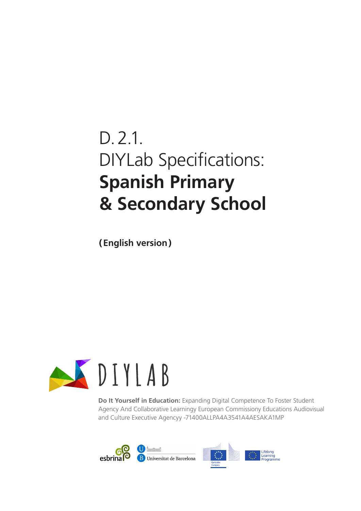# D.2.1. DIYLab Specifications: **Spanish Primary & Secondary School**

**(English version)**



**Do It Yourself in Education:** Expanding Digital Competence To Foster Student Agency And Collaborative Learningy European Commissiony Educations Audiovisual and Culture Executive Agencyy -71400ALLPA4A3541A4AESAKA1MP

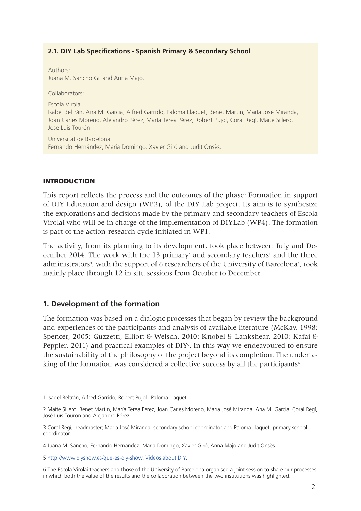#### **2.1. DIY Lab Specifications - Spanish Primary & Secondary School**

Authors: Juana M. Sancho Gil and Anna Majó.

Collaborators:

Escola Virolai

Isabel Beltrán, Ana M. Garcia, Alfred Garrido, Paloma Llaquet, Benet Martin, María José Miranda, Joan Carles Moreno, Alejandro Pérez, María Terea Pérez, Robert Pujol, Coral Regí, Maite Sillero, José Luís Tourón.

Universitat de Barcelona Fernando Hernández, Maria Domingo, Xavier Giró and Judit Onsès.

#### INTRODUCTION

This report reflects the process and the outcomes of the phase: Formation in support of DIY Education and design (WP2), of the DIY Lab project. Its aim is to synthesize the explorations and decisions made by the primary and secondary teachers of Escola Virolai who will be in charge of the implementation of DIYLab (WP4). The formation is part of the action-research cycle initiated in WP1.

The activity, from its planning to its development, took place between July and December 2014. The work with the 13 primary<sup>1</sup> and secondary teachers<sup>2</sup> and the three administrators<sup>3</sup>, with the support of 6 researchers of the University of Barcelona<sup>4</sup>, took mainly place through 12 in situ sessions from October to December.

#### **1. Development of the formation**

The formation was based on a dialogic processes that began by review the background and experiences of the participants and analysis of available literature (McKay, 1998; Spencer, 2005; Guzzetti, Elliott & Welsch, 2010; Knobel & Lankshear, 2010: Kafai & Peppler, 2011) and practical examples of DIY<sup>5</sup>. In this way we endeavoured to ensure the sustainability of the philosophy of the project beyond its completion. The undertaking of the formation was considered a collective success by all the participants<sup>6</sup>.

<sup>1</sup> Isabel Beltrán, Alfred Garrido, Robert Pujol i Paloma Llaquet.

<sup>2</sup> Maite Sillero, Benet Martin, María Terea Pérez, Joan Carles Moreno, María José Miranda, Ana M. Garcia, Coral Regí, José Luís Tourón and Alejandro Pérez.

<sup>3</sup> Coral Regí, headmaster; María José Miranda, secondary school coordinator and Paloma Llaquet, primary school coordinator.

<sup>4</sup> Juana M. Sancho, Fernando Hernández, Maria Domingo, Xavier Giró, Anna Majó and Judit Onsès.

<sup>5</sup> http://www.diyshow.es/que-es-diy-show. Videos about DIY.

<sup>6</sup> The Escola Virolai teachers and those of the University of Barcelona organised a joint session to share our processes in which both the value of the results and the collaboration between the two institutions was highlighted.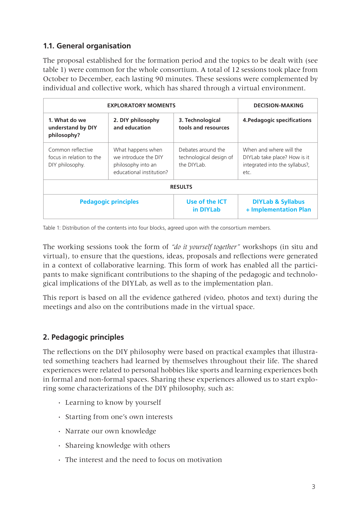# **1.1. General organisation**

The proposal established for the formation period and the topics to be dealt with (see table 1) were common for the whole consortium. A total of 12 sessions took place from October to December, each lasting 90 minutes. These sessions were complemented by individual and collective work, which has shared through a virtual environment.

| <b>EXPLORATORY MOMENTS</b>                                       |                                                                                             |                                                              | <b>DECISION-MAKING</b>                                                                            |
|------------------------------------------------------------------|---------------------------------------------------------------------------------------------|--------------------------------------------------------------|---------------------------------------------------------------------------------------------------|
| 1. What do we<br>understand by DIY<br>philosophy?                | 2. DIY philosophy<br>and education                                                          | 3. Technological<br>tools and resources                      | 4. Pedagogic specifications                                                                       |
| Common reflective<br>focus in relation to the<br>DIY philosophy. | What happens when<br>we introduce the DIY<br>philosophy into an<br>educational institution? | Debates around the<br>technological design of<br>the DIYI ab | When and where will the<br>DIYLab take place? How is it<br>integrated into the syllabus?,<br>etc. |
|                                                                  |                                                                                             | <b>RESULTS</b>                                               |                                                                                                   |
| <b>Pedagogic principles</b>                                      |                                                                                             | Use of the ICT<br>in DIYLab                                  | <b>DIYLab &amp; Syllabus</b><br>+ Implementation Plan                                             |

Table 1: Distribution of the contents into four blocks, agreed upon with the consortium members.

The working sessions took the form of *"do it yourself together"* workshops (in situ and virtual), to ensure that the questions, ideas, proposals and reflections were generated in a context of collaborative learning. This form of work has enabled all the participants to make significant contributions to the shaping of the pedagogic and technological implications of the DIYLab, as well as to the implementation plan.

This report is based on all the evidence gathered (video, photos and text) during the meetings and also on the contributions made in the virtual space.

# **2. Pedagogic principles**

The reflections on the DIY philosophy were based on practical examples that illustrated something teachers had learned by themselves throughout their life. The shared experiences were related to personal hobbies like sports and learning experiences both in formal and non-formal spaces. Sharing these experiences allowed us to start exploring some characterizations of the DIY philosophy, such as:

- **·** Learning to know by yourself
- **·** Starting from one's own interests
- **·** Narrate our own knowledge
- **·** Shareing knowledge with others
- **·** The interest and the need to focus on motivation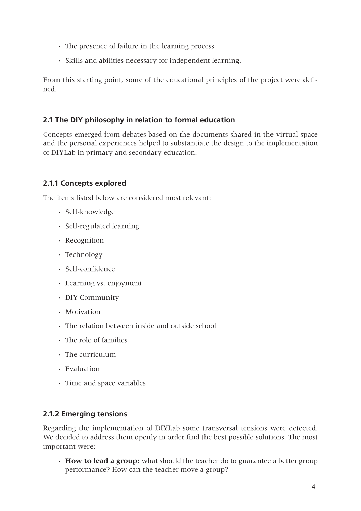- **·** The presence of failure in the learning process
- **·** Skills and abilities necessary for independent learning.

From this starting point, some of the educational principles of the project were defined.

# **2.1 The DIY philosophy in relation to formal education**

Concepts emerged from debates based on the documents shared in the virtual space and the personal experiences helped to substantiate the design to the implementation of DIYLab in primary and secondary education.

# **2.1.1 Concepts explored**

The items listed below are considered most relevant:

- **·** Self-knowledge
- **·** Self-regulated learning
- **·** Recognition
- **·** Technology
- **·** Self-confidence
- **·** Learning vs. enjoyment
- **·** DIY Community
- **·** Motivation
- **·** The relation between inside and outside school
- **·** The role of families
- **·** The curriculum
- **·** Evaluation
- **·** Time and space variables

# **2.1.2 Emerging tensions**

Regarding the implementation of DIYLab some transversal tensions were detected. We decided to address them openly in order find the best possible solutions. The most important were:

**· How to lead a group:** what should the teacher do to guarantee a better group performance? How can the teacher move a group?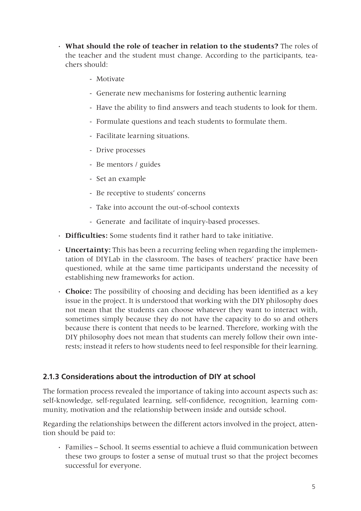- **· What should the role of teacher in relation to the students?** The roles of the teacher and the student must change. According to the participants, teachers should:
	- Motivate
	- Generate new mechanisms for fostering authentic learning
	- Have the ability to find answers and teach students to look for them.
	- Formulate questions and teach students to formulate them.
	- Facilitate learning situations.
	- Drive processes
	- Be mentors / guides
	- Set an example
	- Be receptive to students' concerns
	- Take into account the out-of-school contexts
	- Generate and facilitate of inquiry-based processes.
- **· Difficulties:** Some students find it rather hard to take initiative.
- **· Uncertainty:** This has been a recurring feeling when regarding the implementation of DIYLab in the classroom. The bases of teachers' practice have been questioned, while at the same time participants understand the necessity of establishing new frameworks for action.
- **· Choice:** The possibility of choosing and deciding has been identified as a key issue in the project. It is understood that working with the DIY philosophy does not mean that the students can choose whatever they want to interact with, sometimes simply because they do not have the capacity to do so and others because there is content that needs to be learned. Therefore, working with the DIY philosophy does not mean that students can merely follow their own interests; instead it refers to how students need to feel responsible for their learning.

# **2.1.3 Considerations about the introduction of DIY at school**

The formation process revealed the importance of taking into account aspects such as: self-knowledge, self-regulated learning, self-confidence, recognition, learning community, motivation and the relationship between inside and outside school.

Regarding the relationships between the different actors involved in the project, attention should be paid to:

**·** Families – School. It seems essential to achieve a fluid communication between these two groups to foster a sense of mutual trust so that the project becomes successful for everyone.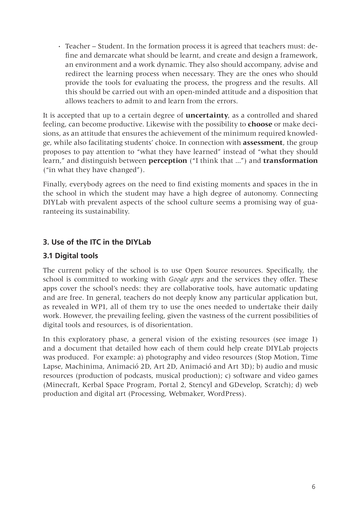**·** Teacher – Student. In the formation process it is agreed that teachers must: define and demarcate what should be learnt, and create and design a framework, an environment and a work dynamic. They also should accompany, advise and redirect the learning process when necessary. They are the ones who should provide the tools for evaluating the process, the progress and the results. All this should be carried out with an open-minded attitude and a disposition that allows teachers to admit to and learn from the errors.

It is accepted that up to a certain degree of **uncertainty**, as a controlled and shared feeling, can become productive. Likewise with the possibility to **choose** or make decisions, as an attitude that ensures the achievement of the minimum required knowledge, while also facilitating students' choice. In connection with **assessment**, the group proposes to pay attention to "what they have learned" instead of "what they should learn," and distinguish between **perception** ("I think that ...") and **transformation**  ("in what they have changed").

Finally, everybody agrees on the need to find existing moments and spaces in the in the school in which the student may have a high degree of autonomy. Connecting DIYLab with prevalent aspects of the school culture seems a promising way of guaranteeing its sustainability.

# **3. Use of the ITC in the DIYLab**

# **3.1 Digital tools**

The current policy of the school is to use Open Source resources. Specifically, the school is committed to working with *Google apps* and the services they offer. These apps cover the school's needs: they are collaborative tools, have automatic updating and are free. In general, teachers do not deeply know any particular application but, as revealed in WP1, all of them try to use the ones needed to undertake their daily work. However, the prevailing feeling, given the vastness of the current possibilities of digital tools and resources, is of disorientation.

In this exploratory phase, a general vision of the existing resources (see image 1) and a document that detailed how each of them could help create DIYLab projects was produced. For example: a) photography and video resources (Stop Motion, Time Lapse, Machinima, Animació 2D, Art 2D, Animació and Art 3D); b) audio and music resources (production of podcasts, musical production); c) software and video games (Minecraft, Kerbal Space Program, Portal 2, Stencyl and GDevelop, Scratch); d) web production and digital art (Processing, Webmaker, WordPress).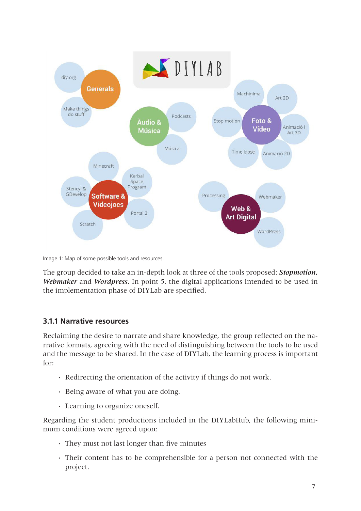

Image 1: Map of some possible tools and resources.

The group decided to take an in-depth look at three of the tools proposed: *Stopmotion, Webmaker* and *Wordpress*. In point 5, the digital applications intended to be used in the implementation phase of DIYLab are specified.

## **3.1.1 Narrative resources**

Reclaiming the desire to narrate and share knowledge, the group reflected on the narrative formats, agreeing with the need of distinguishing between the tools to be used and the message to be shared. In the case of DIYLab, the learning process is important for:

- **·** Redirecting the orientation of the activity if things do not work.
- **·** Being aware of what you are doing.
- **·** Learning to organize oneself.

Regarding the student productions included in the DIYLabHub, the following minimum conditions were agreed upon:

- **·** They must not last longer than five minutes
- **·** Their content has to be comprehensible for a person not connected with the project.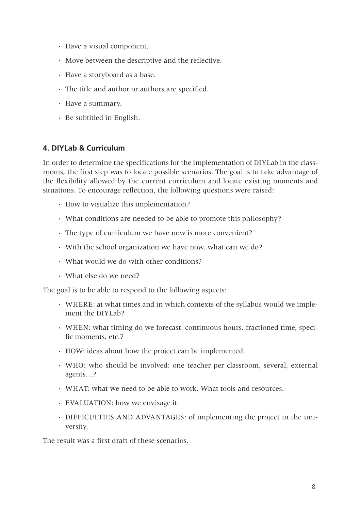- **·** Have a visual component.
- **·** Move between the descriptive and the reflective.
- **·** Have a storyboard as a base.
- **·** The title and author or authors are specified.
- **·** Have a summary.
- **·** Be subtitled in English.

## **4. DIYLab & Curriculum**

In order to determine the specifications for the implementation of DIYLab in the classrooms, the first step was to locate possible scenarios. The goal is to take advantage of the flexibility allowed by the current curriculum and locate existing moments and situations. To encourage reflection, the following questions were raised:

- **·** How to visualize this implementation?
- **·** What conditions are needed to be able to promote this philosophy?
- **·** The type of curriculum we have now is more convenient?
- **·** With the school organization we have now, what can we do?
- **·** What would we do with other conditions?
- **·** What else do we need?

The goal is to be able to respond to the following aspects:

- **·** WHERE: at what times and in which contexts of the syllabus would we implement the DIYLab?
- **·** WHEN: what timing do we forecast: continuous hours, fractioned time, specific moments, etc.?
- **·** HOW: ideas about how the project can be implemented.
- **·** WHO: who should be involved: one teacher per classroom, several, external agents…?
- **·** WHAT: what we need to be able to work. What tools and resources.
- **·** EVALUATION: how we envisage it.
- **·** DIFFICULTIES AND ADVANTAGES: of implementing the project in the university.

The result was a first draft of these scenarios.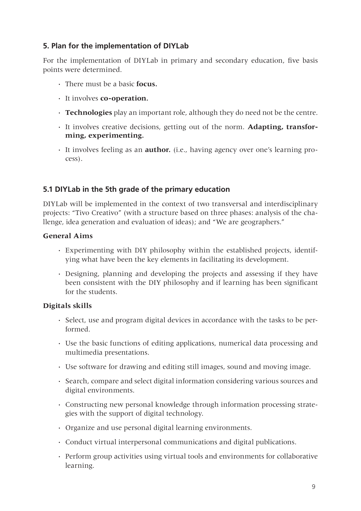# **5. Plan for the implementation of DIYLab**

For the implementation of DIYLab in primary and secondary education, five basis points were determined.

- **·** There must be a basic **focus.**
- **·** It involves **co-operation.**
- **· Technologies** play an important role, although they do need not be the centre.
- **·** It involves creative decisions, getting out of the norm. **Adapting, transforming, experimenting.**
- **·** It involves feeling as an **author.** (i.e., having agency over one's learning process).

# **5.1 DIYLab in the 5th grade of the primary education**

DIYLab will be implemented in the context of two transversal and interdisciplinary projects: "Tivo Creativo" (with a structure based on three phases: analysis of the challenge, idea generation and evaluation of ideas); and "We are geographers."

## **General Aims**

- **·** Experimenting with DIY philosophy within the established projects, identifying what have been the key elements in facilitating its development.
- **·** Designing, planning and developing the projects and assessing if they have been consistent with the DIY philosophy and if learning has been significant for the students.

# **Digitals skills**

- **·** Select, use and program digital devices in accordance with the tasks to be performed.
- **·** Use the basic functions of editing applications, numerical data processing and multimedia presentations.
- **·** Use software for drawing and editing still images, sound and moving image.
- **·** Search, compare and select digital information considering various sources and digital environments.
- **·** Constructing new personal knowledge through information processing strategies with the support of digital technology.
- **·** Organize and use personal digital learning environments.
- **·** Conduct virtual interpersonal communications and digital publications.
- **·** Perform group activities using virtual tools and environments for collaborative learning.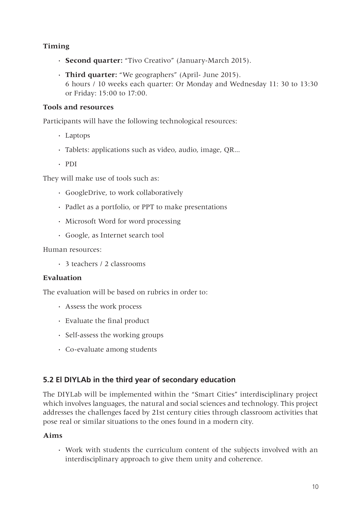# **Timing**

- **· Second quarter:** "Tivo Creativo" (January-March 2015).
- **· Third quarter:** "We geographers" (April- June 2015). 6 hours / 10 weeks each quarter: Or Monday and Wednesday 11: 30 to 13:30 or Friday: 15:00 to 17:00.

# **Tools and resources**

Participants will have the following technological resources:

- **·** Laptops
- **·** Tablets: applications such as video, audio, image, QR...
- **·** PDI

They will make use of tools such as:

- **·** GoogleDrive, to work collaboratively
- **·** Padlet as a portfolio, or PPT to make presentations
- **·** Microsoft Word for word processing
- **·** Google, as Internet search tool

#### Human resources:

**·** 3 teachers / 2 classrooms

## **Evaluation**

The evaluation will be based on rubrics in order to:

- **·** Assess the work process
- **·** Evaluate the final product
- **·** Self-assess the working groups
- **·** Co-evaluate among students

# **5.2 El DIYLAb in the third year of secondary education**

The DIYLab will be implemented within the "Smart Cities" interdisciplinary project which involves languages, the natural and social sciences and technology. This project addresses the challenges faced by 21st century cities through classroom activities that pose real or similar situations to the ones found in a modern city.

## **Aims**

**·** Work with students the curriculum content of the subjects involved with an interdisciplinary approach to give them unity and coherence.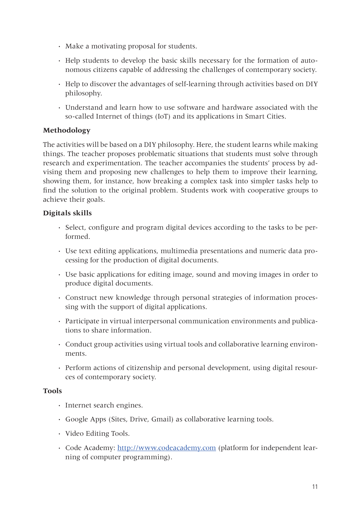- **·** Make a motivating proposal for students.
- **·** Help students to develop the basic skills necessary for the formation of autonomous citizens capable of addressing the challenges of contemporary society.
- **·** Help to discover the advantages of self-learning through activities based on DIY philosophy.
- **·** Understand and learn how to use software and hardware associated with the so-called Internet of things (IoT) and its applications in Smart Cities.

# **Methodology**

The activities will be based on a DIY philosophy. Here, the student learns while making things. The teacher proposes problematic situations that students must solve through research and experimentation. The teacher accompanies the students' process by advising them and proposing new challenges to help them to improve their learning, showing them, for instance, how breaking a complex task into simpler tasks help to find the solution to the original problem. Students work with cooperative groups to achieve their goals.

# **Digitals skills**

- **·** Select, configure and program digital devices according to the tasks to be performed.
- **·** Use text editing applications, multimedia presentations and numeric data processing for the production of digital documents.
- **·** Use basic applications for editing image, sound and moving images in order to produce digital documents.
- **·** Construct new knowledge through personal strategies of information processing with the support of digital applications.
- **·** Participate in virtual interpersonal communication environments and publications to share information.
- **·** Conduct group activities using virtual tools and collaborative learning environments.
- **·** Perform actions of citizenship and personal development, using digital resources of contemporary society.

## **Tools**

- **·** Internet search engines.
- **·** Google Apps (Sites, Drive, Gmail) as collaborative learning tools.
- **·** Video Editing Tools.
- **·** Code Academy: http://www.codeacademy.com (platform for independent learning of computer programming).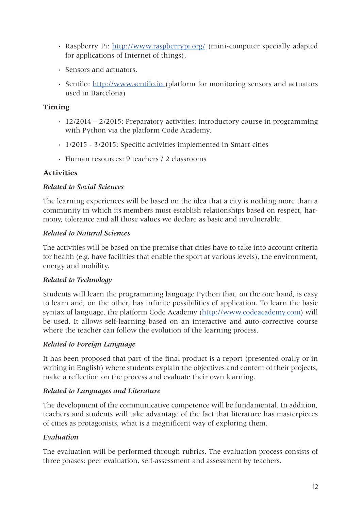- **·** Raspberry Pi: http://www.raspberrypi.org/ (mini-computer specially adapted for applications of Internet of things).
- **·** Sensors and actuators.
- **·** Sentilo: http://www.sentilo.io (platform for monitoring sensors and actuators used in Barcelona)

# **Timing**

- **·** 12/2014 2/2015: Preparatory activities: introductory course in programming with Python via the platform Code Academy.
- **·** 1/2015 3/2015: Specific activities implemented in Smart cities
- **·** Human resources: 9 teachers / 2 classrooms

# **Activities**

## *Related to Social Sciences*

The learning experiences will be based on the idea that a city is nothing more than a community in which its members must establish relationships based on respect, harmony, tolerance and all those values we declare as basic and invulnerable.

#### *Related to Natural Sciences*

The activities will be based on the premise that cities have to take into account criteria for health (e.g. have facilities that enable the sport at various levels), the environment, energy and mobility.

## *Related to Technology*

Students will learn the programming language Python that, on the one hand, is easy to learn and, on the other, has infinite possibilities of application. To learn the basic syntax of language, the platform Code Academy (http://www.codeacademy.com) will be used. It allows self-learning based on an interactive and auto-corrective course where the teacher can follow the evolution of the learning process.

## *Related to Foreign Language*

It has been proposed that part of the final product is a report (presented orally or in writing in English) where students explain the objectives and content of their projects, make a reflection on the process and evaluate their own learning.

## *Related to Languages and Literature*

The development of the communicative competence will be fundamental. In addition, teachers and students will take advantage of the fact that literature has masterpieces of cities as protagonists, what is a magnificent way of exploring them.

## *Evaluation*

The evaluation will be performed through rubrics. The evaluation process consists of three phases: peer evaluation, self-assessment and assessment by teachers.